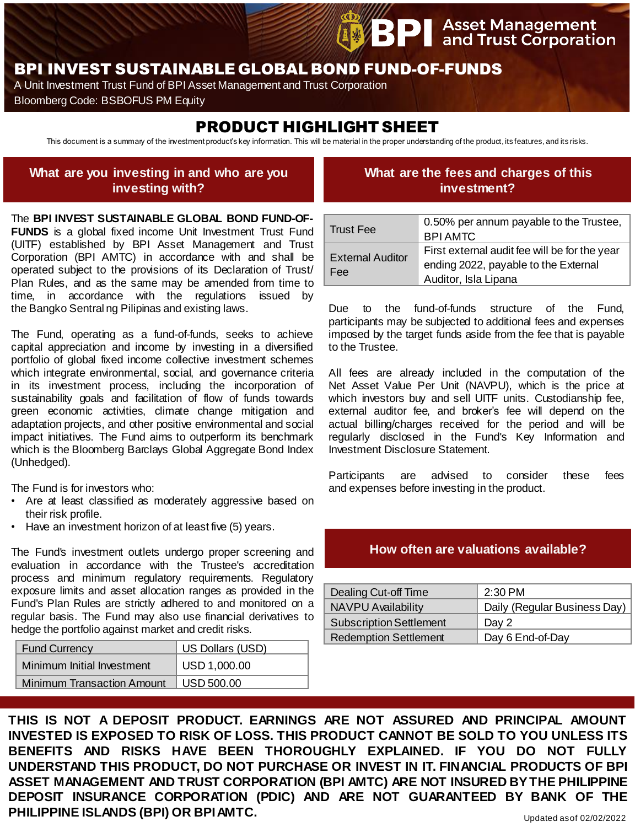# BPI INVEST SUSTAINABLE GLOBAL BOND FUND-OF-FUNDS

A Unit Investment Trust Fund of BPI Asset Management and Trust Corporation

Bloomberg Code: BSBOFUS PM Equity

# PRODUCT HIGHLIGHT SHEET

This document is a summary of the investment product's key information. This will be material in the proper understanding of the product, its features, and its risks.

### **What are you investing in and who are you investing with?**

## **What are the fees and charges of this investment?**

**Asset Management**<br>and Trust Corporation

The **BPI INVEST SUSTAINABLE GLOBAL BOND FUND-OF-FUNDS** is a global fixed income Unit Investment Trust Fund (UITF) established by BPI Asset Management and Trust Corporation (BPI AMTC) in accordance with and shall be operated subject to the provisions of its Declaration of Trust/ Plan Rules, and as the same may be amended from time to time, in accordance with the regulations issued by the Bangko Sentral ng Pilipinas and existing laws.

The Fund, operating as a fund-of-funds, seeks to achieve capital appreciation and income by investing in a diversified portfolio of global fixed income collective investment schemes which integrate environmental, social, and governance criteria in its investment process, including the incorporation of sustainability goals and facilitation of flow of funds towards green economic activities, climate change mitigation and adaptation projects, and other positive environmental and social impact initiatives. The Fund aims to outperform its benchmark which is the Bloomberg Barclays Global Aggregate Bond Index (Unhedged).

The Fund is for investors who:

- Are at least classified as moderately aggressive based on their risk profile.
- Have an investment horizon of at least five (5) years.

The Fund's investment outlets undergo proper screening and evaluation in accordance with the Trustee's accreditation process and minimum regulatory requirements. Regulatory exposure limits and asset allocation ranges as provided in the Fund's Plan Rules are strictly adhered to and monitored on a regular basis. The Fund may also use financial derivatives to hedge the portfolio against market and credit risks.

| <b>Fund Currency</b>              | US Dollars (USD) |
|-----------------------------------|------------------|
| Minimum Initial Investment        | USD 1,000.00     |
| <b>Minimum Transaction Amount</b> | USD 500.00       |

| <b>Trust Fee</b>               | 0.50% per annum payable to the Trustee,       |
|--------------------------------|-----------------------------------------------|
|                                | <b>BPI AMTC</b>                               |
| <b>External Auditor</b><br>Fee | First external audit fee will be for the year |
|                                | ending 2022, payable to the External          |
|                                | Auditor, Isla Lipana                          |

Due to the fund-of-funds structure of the Fund, participants may be subjected to additional fees and expenses imposed by the target funds aside from the fee that is payable to the Trustee.

All fees are already included in the computation of the Net Asset Value Per Unit (NAVPU), which is the price at which investors buy and sell UITF units. Custodianship fee, external auditor fee, and broker's fee will depend on the actual billing/charges received for the period and will be regularly disclosed in the Fund's Key Information and Investment Disclosure Statement.

Participants are advised to consider these fees and expenses before investing in the product.

#### **How often are valuations available?**

| Dealing Cut-off Time           | $2:30$ PM                    |
|--------------------------------|------------------------------|
| <b>NAVPU Availability</b>      | Daily (Regular Business Day) |
| <b>Subscription Settlement</b> | Day 2                        |
| <b>Redemption Settlement</b>   | Day 6 End-of-Day             |

**THIS IS NOT A DEPOSIT PRODUCT. EARNINGS ARE NOT ASSURED AND PRINCIPAL AMOUNT INVESTED IS EXPOSED TO RISK OF LOSS. THIS PRODUCT CANNOT BE SOLD TO YOU UNLESS ITS BENEFITS AND RISKS HAVE BEEN THOROUGHLY EXPLAINED. IF YOU DO NOT FULLY UNDERSTAND THIS PRODUCT, DO NOT PURCHASE OR INVEST IN IT. FINANCIAL PRODUCTS OF BPI ASSET MANAGEMENT AND TRUST CORPORATION (BPI AMTC) ARE NOT INSURED BYTHE PHILIPPINE DEPOSIT INSURANCE CORPORATION (PDIC) AND ARE NOT GUARANTEED BY BANK OF THE PHILIPPINE ISLANDS (BPI) OR BPIAMTC.**